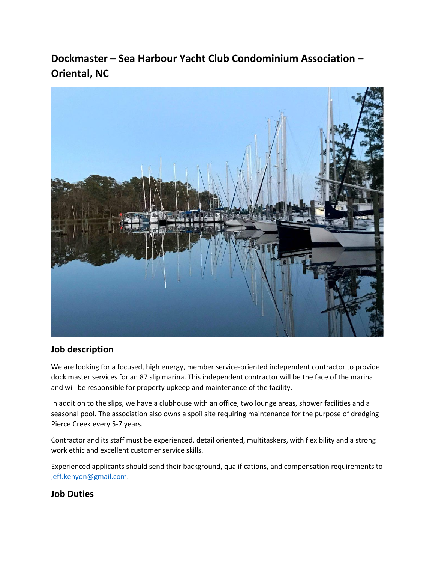# **Dockmaster – Sea Harbour Yacht Club Condominium Association – Oriental, NC**



## **Job description**

We are looking for a focused, high energy, member service-oriented independent contractor to provide dock master services for an 87 slip marina. This independent contractor will be the face of the marina and will be responsible for property upkeep and maintenance of the facility.

In addition to the slips, we have a clubhouse with an office, two lounge areas, shower facilities and a seasonal pool. The association also owns a spoil site requiring maintenance for the purpose of dredging Pierce Creek every 5-7 years.

Contractor and its staff must be experienced, detail oriented, multitaskers, with flexibility and a strong work ethic and excellent customer service skills.

Experienced applicants should send their background, qualifications, and compensation requirements to [jeff.kenyon@gmail.com.](mailto:dockmaster@seaharbour.org)

## **Job Duties**